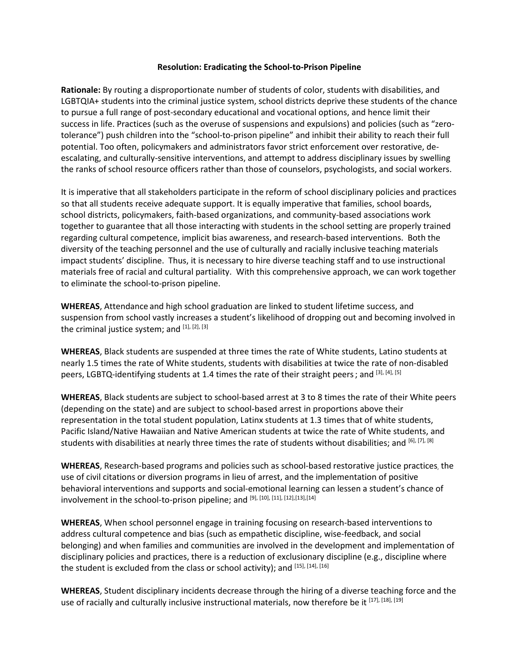## **Resolution: Eradicating the School-to-Prison Pipeline**

**Rationale:** By routing a disproportionate number of students of color, students with disabilities, and LGBTQIA+ students into the criminal justice system, school districts deprive these students of the chance to pursue a full range of post-secondary educational and vocational options, and hence limit their success in life. Practices (such as the overuse of suspensions and expulsions) and policies (such as "zerotolerance") push children into the "school-to-prison pipeline" and inhibit their ability to reach their full potential. Too often, policymakers and administrators favor strict enforcement over restorative, deescalating, and culturally-sensitive interventions, and attempt to address disciplinary issues by swelling the ranks of school resource officers rather than those of counselors, psychologists, and social workers.

It is imperative that all stakeholders participate in the reform of school disciplinary policies and practices so that all students receive adequate support. It is equally imperative that families, school boards, school districts, policymakers, faith-based organizations, and community-based associations work together to guarantee that all those interacting with students in the school setting are properly trained regarding cultural competence, implicit bias awareness, and research-based interventions. Both the diversity of the teaching personnel and the use of culturally and racially inclusive teaching materials impact students' discipline. Thus, it is necessary to hire diverse teaching staff and to use instructional materials free of racial and cultural partiality. With this comprehensive approach, we can work together to eliminate the school-to-prison pipeline.

**WHEREAS**, Attendance and high school graduation are linked to student lifetime success, and suspension from school vastly increases a student's likelihood of dropping out and becoming involved in the criminal justice system; and [1], [2], [3]

**WHEREAS**, Black students are suspended at three times the rate of White students, Latino students at nearly 1.5 times the rate of White students, students with disabilities at twice the rate of non-disabled peers, LGBTQ-identifying students at 1.4 times the rate of their straight peers; and  $^{[3], [4], [5]}$ 

**WHEREAS**, Black students are subject to school-based arrest at 3 to 8 times the rate of their White peers (depending on the state) and are subject to school-based arrest in proportions above their representation in the total student population, Latinx students at 1.3 times that of white students, Pacific Island/Native Hawaiian and Native American students at twice the rate of White students, and students with disabilities at nearly three times the rate of students without disabilities; and [6], [7], [8]

**WHEREAS**, Research-based programs and policies such as school-based restorative justice practices, the use of civil citations or diversion programs in lieu of arrest, and the implementation of positive behavioral interventions and supports and social-emotional learning can lessen a student's chance of involvement in the school-to-prison pipeline; and [9], [10], [11], [12], [13], [14]

**WHEREAS**, When school personnel engage in training focusing on research-based interventions to address cultural competence and bias (such as empathetic discipline, wise-feedback, and social belonging) and when families and communities are involved in the development and implementation of disciplinary policies and practices, there is a reduction of exclusionary discipline (e.g., discipline where the student is excluded from the class or school activity); and [15], [14], [16]

**WHEREAS**, Student disciplinary incidents decrease through the hiring of a diverse teaching force and the use of racially and culturally inclusive instructional materials, now therefore be it [17], [18], [19]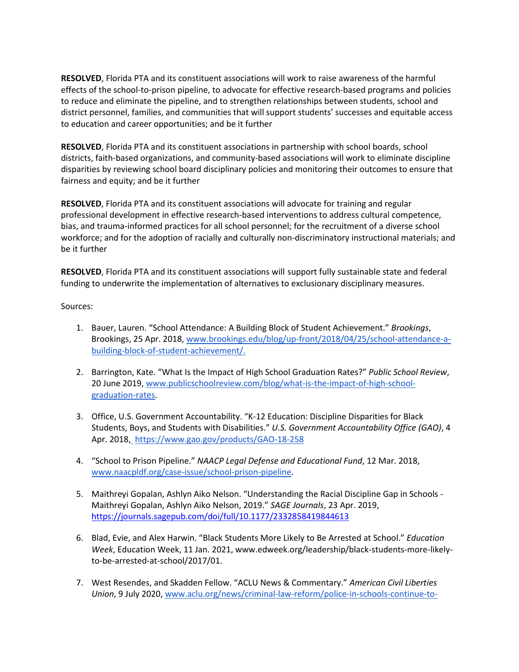**RESOLVED**, Florida PTA and its constituent associations will work to raise awareness of the harmful effects of the school-to-prison pipeline, to advocate for effective research-based programs and policies to reduce and eliminate the pipeline, and to strengthen relationships between students, school and district personnel, families, and communities that will support students' successes and equitable access to education and career opportunities; and be it further

**RESOLVED**, Florida PTA and its constituent associations in partnership with school boards, school districts, faith-based organizations, and community-based associations will work to eliminate discipline disparities by reviewing school board disciplinary policies and monitoring their outcomes to ensure that fairness and equity; and be it further

**RESOLVED**, Florida PTA and its constituent associations will advocate for training and regular professional development in effective research-based interventions to address cultural competence, bias, and trauma-informed practices for all school personnel; for the recruitment of a diverse school workforce; and for the adoption of racially and culturally non-discriminatory instructional materials; and be it further

**RESOLVED**, Florida PTA and its constituent associations will support fully sustainable state and federal funding to underwrite the implementation of alternatives to exclusionary disciplinary measures.

Sources:

- 1. Bauer, Lauren. "School Attendance: A Building Block of Student Achievement." *Brookings*, Brookings, 25 Apr. 2018, [www.brookings.edu/blog/up-front/2018/04/25/school-attendance-a](http://www.brookings.edu/blog/up-front/2018/04/25/school-attendance-a-building-block-of-student-achievement/)[building-block-of-student-achievement/.](http://www.brookings.edu/blog/up-front/2018/04/25/school-attendance-a-building-block-of-student-achievement/)
- 2. Barrington, Kate. "What Is the Impact of High School Graduation Rates?" *Public School Review*, 20 June 2019, [www.publicschoolreview.com/blog/what-is-the-impact-of-high-school](http://www.publicschoolreview.com/blog/what-is-the-impact-of-high-school-graduation-rates)[graduation-rates.](http://www.publicschoolreview.com/blog/what-is-the-impact-of-high-school-graduation-rates)
- 3. Office, U.S. Government Accountability. "K-12 Education: Discipline Disparities for Black Students, Boys, and Students with Disabilities." *U.S. Government Accountability Office (GAO)*, 4 Apr. 2018[,](http://www.gao.gov/products/GAO-18-258.) https://www.gao.gov/products/GAO-18-258
- 4. "School to Prison Pipeline." *NAACP Legal Defense and Educational Fund*, 12 Mar. 2018, [www.naacpldf.org/case-issue/school-prison-pipeline.](http://www.naacpldf.org/case-issue/school-prison-pipeline)
- 5. Maithreyi Gopalan, Ashlyn Aiko Nelson. "Understanding the Racial Discipline Gap in Schools Maithreyi Gopalan, Ashlyn Aiko Nelson, 2019." *SAGE Journals*, 23 Apr. 2019, <https://journals.sagepub.com/doi/full/10.1177/2332858419844613>
- 6. Blad, Evie, and Alex Harwin. "Black Students More Likely to Be Arrested at School." *Education Week*, Education Week, 11 Jan. 2021, www.edweek.org/leadership/black-students-more-likelyto-be-arrested-at-school/2017/01.
- 7. West Resendes, and Skadden Fellow. "ACLU News & Commentary." *American Civil Liberties Union*, 9 July 2020[, www.aclu.org/news/criminal-law-reform/police-in-schools-continue-to-](http://www.aclu.org/news/criminal-law-reform/police-in-schools-continue-to-target-black-brown-and-indigenous-students-with-disabilities-the-trump-administration-has-data-thats-likely-to-prove-it/)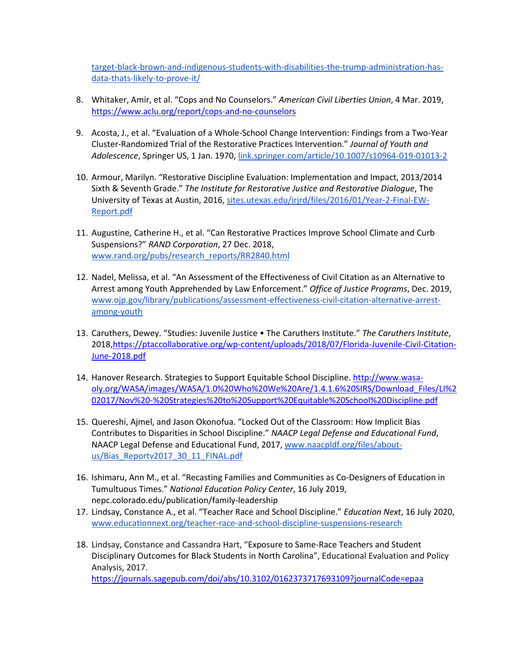[target-black-brown-and-indigenous-students-with-disabilities-the-trump-administration-has](http://www.aclu.org/news/criminal-law-reform/police-in-schools-continue-to-target-black-brown-and-indigenous-students-with-disabilities-the-trump-administration-has-data-thats-likely-to-prove-it/)[data-thats-likely-to-prove-it/](http://www.aclu.org/news/criminal-law-reform/police-in-schools-continue-to-target-black-brown-and-indigenous-students-with-disabilities-the-trump-administration-has-data-thats-likely-to-prove-it/)

- 8. Whitaker, Amir, et al. "Cops and No Counselors." *American Civil Liberties Union*, 4 Mar. 2019, <https://www.aclu.org/report/cops-and-no-counselors>
- 9. Acosta, J., et al. "Evaluation of a Whole-School Change Intervention: Findings from a Two-Year Cluster-Randomized Trial of the Restorative Practices Intervention." *Journal of Youth and Adolescence*, Springer US, 1 Jan. 1970, [link.springer.com/article/10.1007/s10964-019-01013-2](https://link.springer.com/article/10.1007/s40688-020-00290-0)
- 10. Armour, Marilyn. "Restorative Discipline Evaluation: Implementation and Impact, 2013/2014 Sixth & Seventh Grade." *The Institute for Restorative Justice and Restorative Dialogue*, The University of Texas at Austin, 2016[, sites.utexas.edu/irjrd/files/2016/01/Year-2-Final-EW-](http://sites.utexas.edu/irjrd/files/2016/01/Year-2-Final-EW-Report.pdf)[Report.pdf](http://sites.utexas.edu/irjrd/files/2016/01/Year-2-Final-EW-Report.pdf)
- 11. Augustine, Catherine H., et al. "Can Restorative Practices Improve School Climate and Curb Suspensions?" *RAND Corporation*, 27 Dec. 2018, [www.rand.org/pubs/research\\_reports/RR2840.html](http://www.rand.org/pubs/research_reports/RR2840.html)
- 12. Nadel, Melissa, et al. "An Assessment of the Effectiveness of Civil Citation as an Alternative to Arrest among Youth Apprehended by Law Enforcement." *Office of Justice Programs*, Dec. 2019, [www.ojp.gov/library/publications/assessment-effectiveness-civil-citation-alternative-arrest](http://www.ojp.gov/library/publications/assessment-effectiveness-civil-citation-alternative-arrest-among-youth)[among-youth](http://www.ojp.gov/library/publications/assessment-effectiveness-civil-citation-alternative-arrest-among-youth)
- 13. Caruthers, Dewey. "Studies: Juvenile Justice The Caruthers Institute." *The Caruthers Institute*, 2018[,https://ptaccollaborative.org/wp-content/uploads/2018/07/Florida-Juvenile-Civil-Citation-](https://ptaccollaborative.org/wp-content/uploads/2018/07/Florida-Juvenile-Civil-Citation-June-2018.pdf)[June-2018.pdf](https://ptaccollaborative.org/wp-content/uploads/2018/07/Florida-Juvenile-Civil-Citation-June-2018.pdf)
- 14. Hanover Research. Strategies to Support Equitable School Discipline[. http://www.wasa](http://www.wasa-oly.org/WASA/images/WASA/1.0%20Who%20We%20Are/1.4.1.6%20SIRS/Download_Files/LI%202017/Nov%20-%20Strategies%20to%20Support%20Equitable%20School%20Discipline.pdf)[oly.org/WASA/images/WASA/1.0%20Who%20We%20Are/1.4.1.6%20SIRS/Download\\_Files/LI%2](http://www.wasa-oly.org/WASA/images/WASA/1.0%20Who%20We%20Are/1.4.1.6%20SIRS/Download_Files/LI%202017/Nov%20-%20Strategies%20to%20Support%20Equitable%20School%20Discipline.pdf) [02017/Nov%20-%20Strategies%20to%20Support%20Equitable%20School%20Discipline.pdf](http://www.wasa-oly.org/WASA/images/WASA/1.0%20Who%20We%20Are/1.4.1.6%20SIRS/Download_Files/LI%202017/Nov%20-%20Strategies%20to%20Support%20Equitable%20School%20Discipline.pdf)
- 15. Quereshi, Ajmel, and Jason Okonofua. "Locked Out of the Classroom: How Implicit Bias Contributes to Disparities in School Discipline." *NAACP Legal Defense and Educational Fund*, NAACP Legal Defense and Educational Fund, 2017, [www.naacpldf.org/files/about](http://www.naacpldf.org/files/about-us/Bias_Reportv2017_30_11_FINAL.pdf)[us/Bias\\_Reportv2017\\_30\\_11\\_FINAL.pdf](http://www.naacpldf.org/files/about-us/Bias_Reportv2017_30_11_FINAL.pdf)
- 16. Ishimaru, Ann M., et al. "Recasting Families and Communities as Co-Designers of Education in Tumultuous Times." *National Education Policy Center*, 16 July 2019, nepc.colorado.edu/publication/family-leadership
- 17. Lindsay, Constance A., et al. "Teacher Race and School Discipline." *Education Next*, 16 July 2020, [www.educationnext.org/teacher-race-and-school-discipline-suspensions-research](http://www.educationnext.org/teacher-race-and-school-discipline-suspensions-research)
- 18. Lindsay, Constance and Cassandra Hart, "Exposure to Same-Race Teachers and Student Disciplinary Outcomes for Black Students in North Carolina", Educational Evaluation and Policy Analysis, 2017.

<https://journals.sagepub.com/doi/abs/10.3102/0162373717693109?journalCode=epaa>